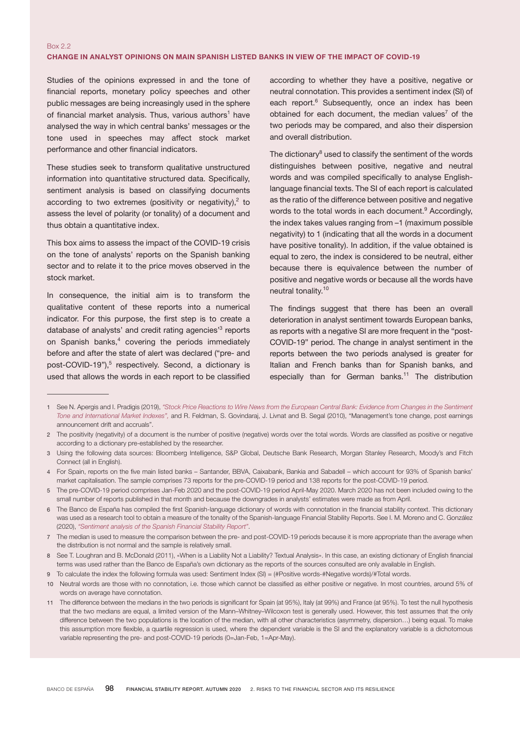# Box 2.2 CHANGE IN ANALYST OPINIONS ON MAIN SPANISH LISTED BANKS IN VIEW OF THE IMPACT OF COVID-19

Studies of the opinions expressed in and the tone of financial reports, monetary policy speeches and other public messages are being increasingly used in the sphere of financial market analysis. Thus, various authors<sup>1</sup> have analysed the way in which central banks' messages or the tone used in speeches may affect stock market performance and other financial indicators.

These studies seek to transform qualitative unstructured information into quantitative structured data. Specifically, sentiment analysis is based on classifying documents according to two extremes (positivity or negativity), $2$  to assess the level of polarity (or tonality) of a document and thus obtain a quantitative index.

This box aims to assess the impact of the COVID-19 crisis on the tone of analysts' reports on the Spanish banking sector and to relate it to the price moves observed in the stock market.

In consequence, the initial aim is to transform the qualitative content of these reports into a numerical indicator. For this purpose, the first step is to create a database of analysts' and credit rating agencies<sup>3</sup> reports on Spanish banks, $4$  covering the periods immediately before and after the state of alert was declared ("pre- and post-COVID-19"),<sup>5</sup> respectively. Second, a dictionary is used that allows the words in each report to be classified

according to whether they have a positive, negative or neutral connotation. This provides a sentiment index (SI) of each report.<sup>6</sup> Subsequently, once an index has been obtained for each document, the median values<sup>7</sup> of the two periods may be compared, and also their dispersion and overall distribution.

The dictionary<sup>8</sup> used to classify the sentiment of the words distinguishes between positive, negative and neutral words and was compiled specifically to analyse Englishlanguage financial texts. The SI of each report is calculated as the ratio of the difference between positive and negative words to the total words in each document.<sup>9</sup> Accordingly, the index takes values ranging from –1 (maximum possible negativity) to 1 (indicating that all the words in a document have positive tonality). In addition, if the value obtained is equal to zero, the index is considered to be neutral, either because there is equivalence between the number of positive and negative words or because all the words have neutral tonality.<sup>10</sup>

The findings suggest that there has been an overall deterioration in analyst sentiment towards European banks, as reports with a negative SI are more frequent in the "post-COVID-19" period. The change in analyst sentiment in the reports between the two periods analysed is greater for Italian and French banks than for Spanish banks, and especially than for German banks.<sup>11</sup> The distribution

4 For Spain, reports on the five main listed banks – Santander, BBVA, Caixabank, Bankia and Sabadell – which account for 93% of Spanish banks' market capitalisation. The sample comprises 73 reports for the pre-COVID-19 period and 138 reports for the post-COVID-19 period.

<sup>1</sup> See N. Apergis and I. Pradigis (2019), ["Stock Price Reactions to Wire News from the European Central Bank: Evidence from Changes in the Sentiment](https://link.springer.com/article/10.1007%2Fs11294-019-09721-y) [Tone and International Market Indexes"](https://link.springer.com/article/10.1007%2Fs11294-019-09721-y), and R. Feldman, S. Govindaraj, J. Livnat and B. Segal (2010), "Management's tone change, post earnings announcement drift and accruals".

<sup>2</sup> The positivity (negativity) of a document is the number of positive (negative) words over the total words. Words are classified as positive or negative according to a dictionary pre-established by the researcher.

<sup>3</sup> Using the following data sources: Bloomberg Intelligence, S&P Global, Deutsche Bank Research, Morgan Stanley Research, Moody's and Fitch Connect (all in English).

<sup>5</sup> The pre-COVID-19 period comprises Jan-Feb 2020 and the post-COVID-19 period April-May 2020. March 2020 has not been included owing to the small number of reports published in that month and because the downgrades in analysts' estimates were made as from April.

<sup>6</sup> The Banco de España has compiled the first Spanish-language dictionary of words with connotation in the financial stability context. This dictionary was used as a research tool to obtain a measure of the tonality of the Spanish-language Financial Stability Reports. See I. M. Moreno and C. González (2020), ["Sentiment analysis of the Spanish Financial Stability Report"](https://repositorio.bde.es/handle/123456789/13261).

<sup>7</sup> The median is used to measure the comparison between the pre- and post-COVID-19 periods because it is more appropriate than the average when the distribution is not normal and the sample is relatively small.

<sup>8</sup> See T. Loughran and B. McDonald (2011), «When is a Liability Not a Liability? Textual Analysis». In this case, an existing dictionary of English financial terms was used rather than the Banco de España's own dictionary as the reports of the sources consulted are only available in English.

<sup>9</sup> To calculate the index the following formula was used: Sentiment Index (SI) = (#Positive words-#Negative words)/#Total words.

<sup>10</sup> Neutral words are those with no connotation, i.e. those which cannot be classified as either positive or negative. In most countries, around 5% of words on average have connotation.

<sup>11</sup> The difference between the medians in the two periods is significant for Spain (at 95%), Italy (at 99%) and France (at 95%). To test the null hypothesis that the two medians are equal, a limited version of the Mann–Whitney–Wilcoxon test is generally used. However, this test assumes that the only difference between the two populations is the location of the median, with all other characteristics (asymmetry, dispersion…) being equal. To make this assumption more flexible, a quartile regression is used, where the dependent variable is the SI and the explanatory variable is a dichotomous variable representing the pre- and post-COVID-19 periods (0=Jan-Feb, 1=Apr-May).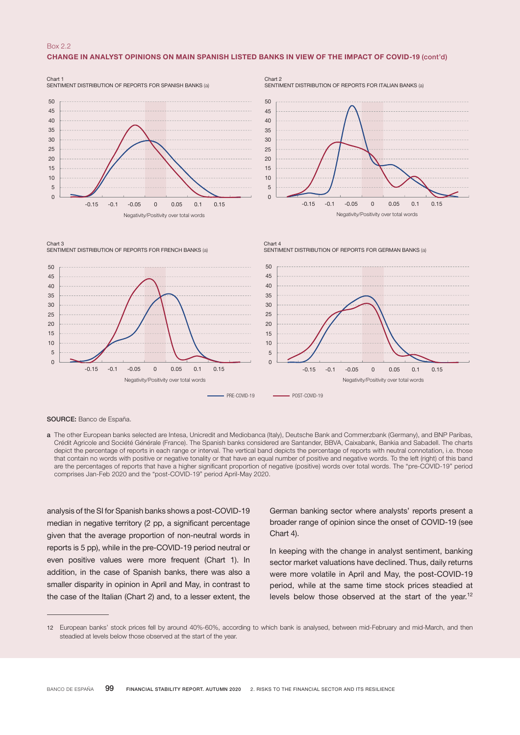### Box 2.2

#### CHANGE IN ANALYST OPINIONS ON MAIN SPANISH LISTED BANKS IN VIEW OF THE IMPACT OF COVID-19 (cont'd)



Chart 2 SENTIMENT DISTRIBUTION OF REPORTS FOR ITALIAN BANKS (a)

SENTIMENT DISTRIBUTION OF REPORTS FOR GERMAN BANKS (a)







Chart 4

SOURCE: Banco de España.

a The other European banks selected are Intesa, Unicredit and Mediobanca (Italy), Deutsche Bank and Commerzbank (Germany), and BNP Paribas, Crédit Agricole and Société Générale (France). The Spanish banks considered are Santander, BBVA, Caixabank, Bankia and Sabadell. The charts depict the percentage of reports in each range or interval. The vertical band depicts the percentage of reports with neutral connotation, i.e. those that contain no words with positive or negative tonality or that have an equal number of positive and negative words. To the left (right) of this band are the percentages of reports that have a higher significant proportion of negative (positive) words over total words. The "pre-COVID-19" period comprises Jan-Feb 2020 and the "post-COVID-19" period April-May 2020.

analysis of the SI for Spanish banks shows a post-COVID-19 median in negative territory (2 pp, a significant percentage given that the average proportion of non-neutral words in reports is 5 pp), while in the pre-COVID-19 period neutral or even positive values were more frequent (Chart 1). In addition, in the case of Spanish banks, there was also a smaller disparity in opinion in April and May, in contrast to the case of the Italian (Chart 2) and, to a lesser extent, the German banking sector where analysts' reports present a broader range of opinion since the onset of COVID-19 (see Chart 4).

In keeping with the change in analyst sentiment, banking sector market valuations have declined. Thus, daily returns were more volatile in April and May, the post-COVID-19 period, while at the same time stock prices steadied at levels below those observed at the start of the year.<sup>12</sup>

<sup>12</sup> European banks' stock prices fell by around 40%-60%, according to which bank is analysed, between mid-February and mid-March, and then steadied at levels below those observed at the start of the year.